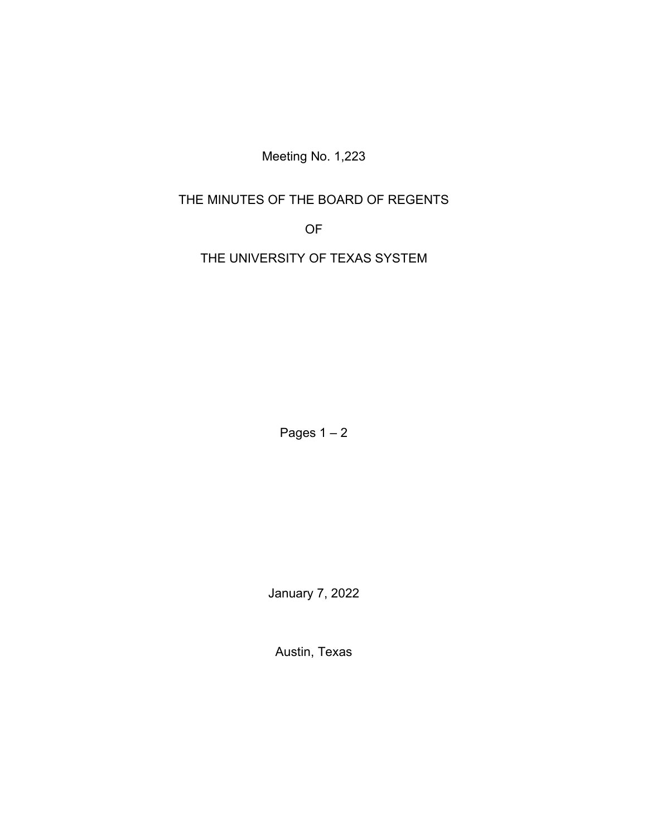Meeting No. 1,223

# THE MINUTES OF THE BOARD OF REGENTS

OF

THE UNIVERSITY OF TEXAS SYSTEM

Pages  $1 - 2$ 

January 7, 2022

Austin, Texas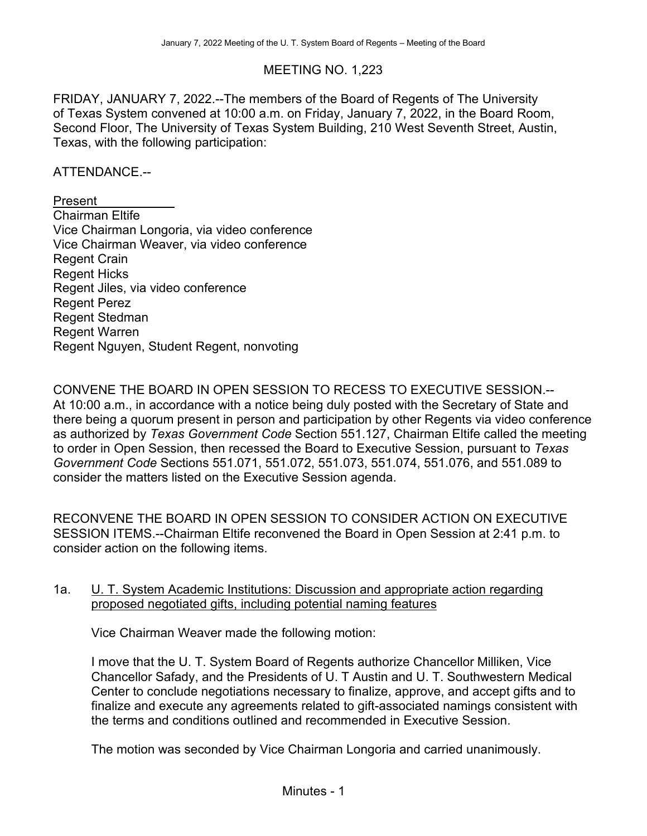## MEETING NO. 1,223

FRIDAY, JANUARY 7, 2022.--The members of the Board of Regents of The University of Texas System convened at 10:00 a.m. on Friday, January 7, 2022, in the Board Room, Second Floor, The University of Texas System Building, 210 West Seventh Street, Austin, Texas, with the following participation:

#### ATTENDANCE.--

Present Chairman Eltife Vice Chairman Longoria, via video conference Vice Chairman Weaver, via video conference Regent Crain Regent Hicks Regent Jiles, via video conference Regent Perez Regent Stedman Regent Warren Regent Nguyen, Student Regent, nonvoting

CONVENE THE BOARD IN OPEN SESSION TO RECESS TO EXECUTIVE SESSION.-- At 10:00 a.m., in accordance with a notice being duly posted with the Secretary of State and there being a quorum present in person and participation by other Regents via video conference as authorized by *Texas Government Code* Section 551.127, Chairman Eltife called the meeting to order in Open Session, then recessed the Board to Executive Session, pursuant to *Texas Government Code* Sections 551.071, 551.072, 551.073, 551.074, 551.076, and 551.089 to consider the matters listed on the Executive Session agenda.

RECONVENE THE BOARD IN OPEN SESSION TO CONSIDER ACTION ON EXECUTIVE SESSION ITEMS.--Chairman Eltife reconvened the Board in Open Session at 2:41 p.m. to consider action on the following items.

#### 1a. U. T. System Academic Institutions: Discussion and appropriate action regarding proposed negotiated gifts, including potential naming features

Vice Chairman Weaver made the following motion:

I move that the U. T. System Board of Regents authorize Chancellor Milliken, Vice Chancellor Safady, and the Presidents of U. T Austin and U. T. Southwestern Medical Center to conclude negotiations necessary to finalize, approve, and accept gifts and to finalize and execute any agreements related to gift-associated namings consistent with the terms and conditions outlined and recommended in Executive Session.

The motion was seconded by Vice Chairman Longoria and carried unanimously.